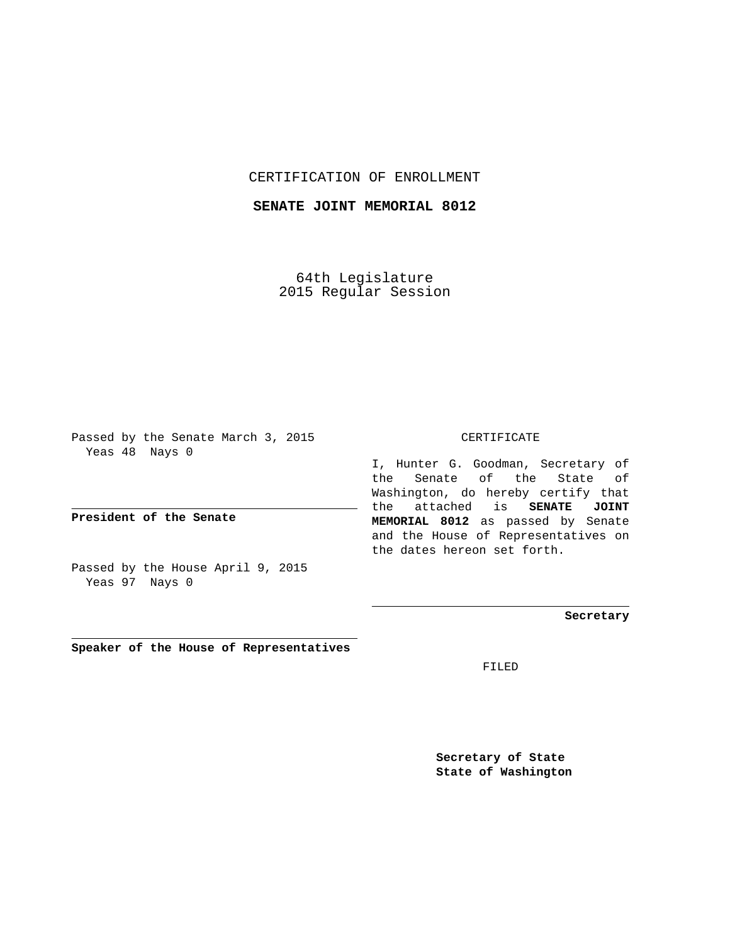## CERTIFICATION OF ENROLLMENT

## **SENATE JOINT MEMORIAL 8012**

64th Legislature 2015 Regular Session

Passed by the Senate March 3, 2015 Yeas 48 Nays 0

**President of the Senate**

Passed by the House April 9, 2015 Yeas 97 Nays 0

**Speaker of the House of Representatives**

## CERTIFICATE

I, Hunter G. Goodman, Secretary of the Senate of the State of Washington, do hereby certify that the attached is **SENATE JOINT MEMORIAL 8012** as passed by Senate and the House of Representatives on the dates hereon set forth.

**Secretary**

FILED

**Secretary of State State of Washington**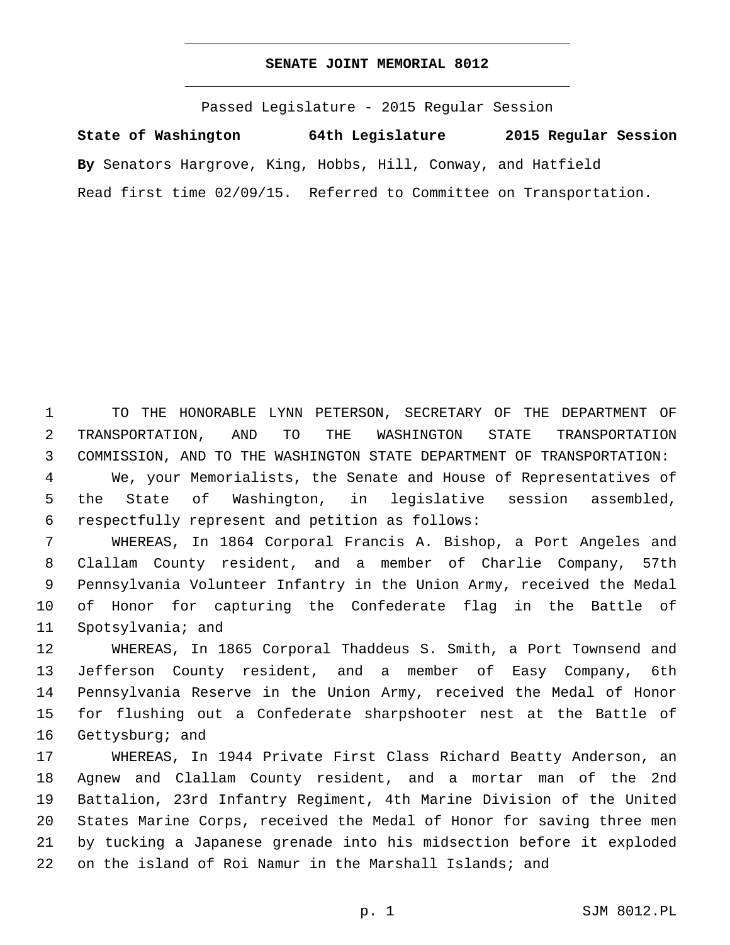## **SENATE JOINT MEMORIAL 8012**

Passed Legislature - 2015 Regular Session **State of Washington 64th Legislature 2015 Regular Session By** Senators Hargrove, King, Hobbs, Hill, Conway, and Hatfield Read first time 02/09/15. Referred to Committee on Transportation.

 TO THE HONORABLE LYNN PETERSON, SECRETARY OF THE DEPARTMENT OF TRANSPORTATION, AND TO THE WASHINGTON STATE TRANSPORTATION COMMISSION, AND TO THE WASHINGTON STATE DEPARTMENT OF TRANSPORTATION:

 We, your Memorialists, the Senate and House of Representatives of the State of Washington, in legislative session assembled, respectfully represent and petition as follows:6

 WHEREAS, In 1864 Corporal Francis A. Bishop, a Port Angeles and Clallam County resident, and a member of Charlie Company, 57th Pennsylvania Volunteer Infantry in the Union Army, received the Medal of Honor for capturing the Confederate flag in the Battle of 11 Spotsylvania; and

 WHEREAS, In 1865 Corporal Thaddeus S. Smith, a Port Townsend and Jefferson County resident, and a member of Easy Company, 6th Pennsylvania Reserve in the Union Army, received the Medal of Honor for flushing out a Confederate sharpshooter nest at the Battle of 16 Gettysburg; and

 WHEREAS, In 1944 Private First Class Richard Beatty Anderson, an Agnew and Clallam County resident, and a mortar man of the 2nd Battalion, 23rd Infantry Regiment, 4th Marine Division of the United States Marine Corps, received the Medal of Honor for saving three men by tucking a Japanese grenade into his midsection before it exploded on the island of Roi Namur in the Marshall Islands; and